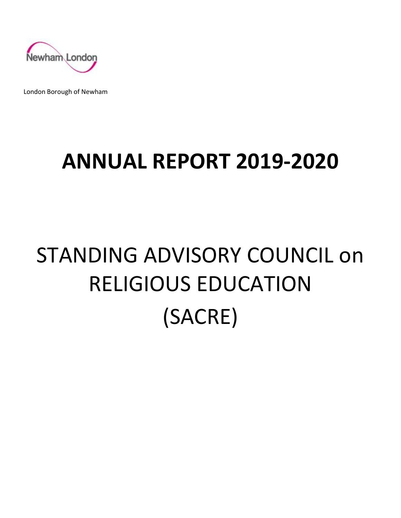

London Borough of Newham

## **ANNUAL REPORT 2019-2020**

# STANDING ADVISORY COUNCIL on RELIGIOUS EDUCATION (SACRE)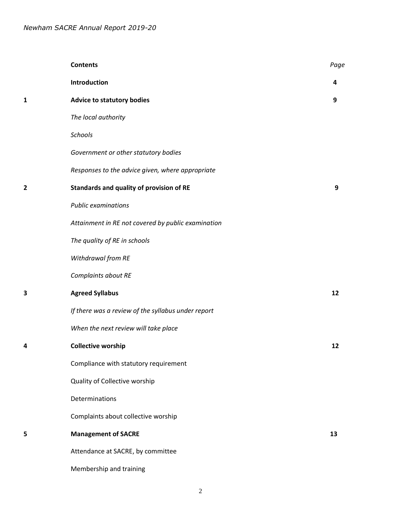|   | <b>Contents</b>                                    | Page |
|---|----------------------------------------------------|------|
|   | Introduction                                       | 4    |
| 1 | <b>Advice to statutory bodies</b>                  | 9    |
|   | The local authority                                |      |
|   | Schools                                            |      |
|   | Government or other statutory bodies               |      |
|   | Responses to the advice given, where appropriate   |      |
| 2 | Standards and quality of provision of RE           | 9    |
|   | <b>Public examinations</b>                         |      |
|   | Attainment in RE not covered by public examination |      |
|   | The quality of RE in schools                       |      |
|   | Withdrawal from RE                                 |      |
|   | Complaints about RE                                |      |
| 3 | <b>Agreed Syllabus</b>                             | 12   |
|   | If there was a review of the syllabus under report |      |
|   | When the next review will take place               |      |
| 4 | <b>Collective worship</b>                          | 12   |
|   | Compliance with statutory requirement              |      |
|   | Quality of Collective worship                      |      |
|   | Determinations                                     |      |
|   | Complaints about collective worship                |      |
| 5 | <b>Management of SACRE</b>                         | 13   |
|   | Attendance at SACRE, by committee                  |      |
|   | Membership and training                            |      |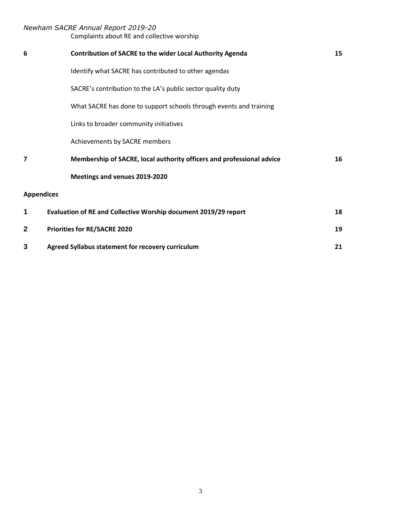Complaints about RE and collective worship

| 6                 | <b>Contribution of SACRE to the wider Local Authority Agenda</b>      | 15 |
|-------------------|-----------------------------------------------------------------------|----|
|                   | Identify what SACRE has contributed to other agendas                  |    |
|                   | SACRE's contribution to the LA's public sector quality duty           |    |
|                   | What SACRE has done to support schools through events and training    |    |
|                   | Links to broader community initiatives                                |    |
|                   | Achievements by SACRE members                                         |    |
| 7                 | Membership of SACRE, local authority officers and professional advice | 16 |
|                   | Meetings and venues 2019-2020                                         |    |
| <b>Appendices</b> |                                                                       |    |
| 1                 | Evaluation of RE and Collective Worship document 2019/29 report       | 18 |
| $\mathbf{2}$      | <b>Priorities for RE/SACRE 2020</b>                                   | 19 |
| 3                 | Agreed Syllabus statement for recovery curriculum                     | 21 |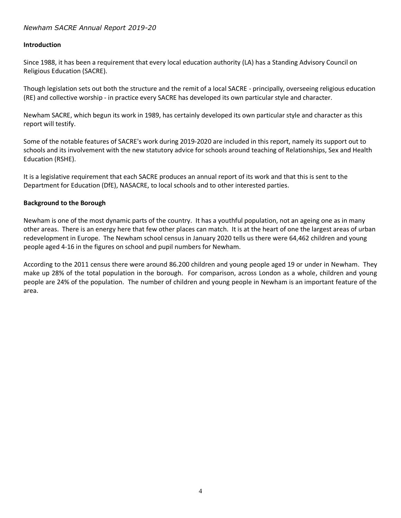#### **Introduction**

Since 1988, it has been a requirement that every local education authority (LA) has a Standing Advisory Council on Religious Education (SACRE).

Though legislation sets out both the structure and the remit of a local SACRE - principally, overseeing religious education (RE) and collective worship - in practice every SACRE has developed its own particular style and character.

Newham SACRE, which begun its work in 1989, has certainly developed its own particular style and character as this report will testify.

Some of the notable features of SACRE's work during 2019-2020 are included in this report, namely its support out to schools and its involvement with the new statutory advice for schools around teaching of Relationships, Sex and Health Education (RSHE).

It is a legislative requirement that each SACRE produces an annual report of its work and that this is sent to the Department for Education (DfE), NASACRE, to local schools and to other interested parties.

#### **Background to the Borough**

Newham is one of the most dynamic parts of the country. It has a youthful population, not an ageing one as in many other areas. There is an energy here that few other places can match. It is at the heart of one the largest areas of urban redevelopment in Europe. The Newham school census in January 2020 tells us there were 64,462 children and young people aged 4-16 in the figures on school and pupil numbers for Newham.

According to the 2011 census there were around 86.200 children and young people aged 19 or under in Newham. They make up 28% of the total population in the borough. For comparison, across London as a whole, children and young people are 24% of the population. The number of children and young people in Newham is an important feature of the area.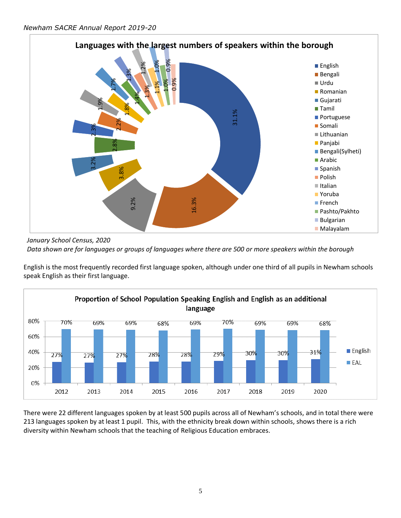

*January School Census, 2020 Data shown are for languages or groups of languages where there are 500 or more speakers within the borough*

English is the most frequently recorded first language spoken, although under one third of all pupils in Newham schools speak English as their first language.



There were 22 different languages spoken by at least 500 pupils across all of Newham's schools, and in total there were 213 languages spoken by at least 1 pupil. This, with the ethnicity break down within schools, shows there is a rich diversity within Newham schools that the teaching of Religious Education embraces.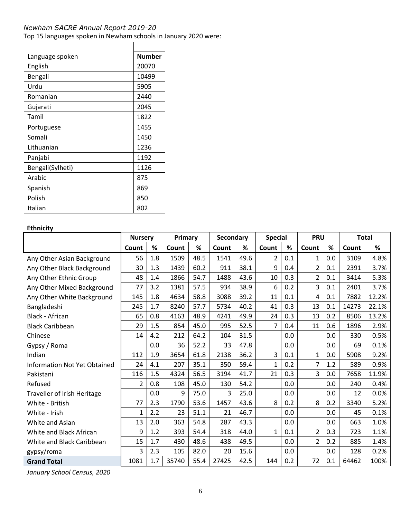Top 15 languages spoken in Newham schools in January 2020 were:

| Language spoken  | <b>Number</b> |
|------------------|---------------|
| English          | 20070         |
| Bengali          | 10499         |
| Urdu             | 5905          |
| Romanian         | 2440          |
| Gujarati         | 2045          |
| Tamil            | 1822          |
| Portuguese       | 1455          |
| Somali           | 1450          |
| Lithuanian       | 1236          |
| Panjabi          | 1192          |
| Bengali(Sylheti) | 1126          |
| Arabic           | 875           |
| Spanish          | 869           |
| Polish           | 850           |
| Italian          | 802           |

#### **Ethnicity**

 $\overline{\phantom{a}}$ 

|                                     | <b>Nursery</b> |     | Primary |      | Secondary |      | <b>Special</b> |     | <b>PRU</b>     |      | <b>Total</b> |       |
|-------------------------------------|----------------|-----|---------|------|-----------|------|----------------|-----|----------------|------|--------------|-------|
|                                     | Count          | %   | Count   | %    | Count     | %    | Count          | %   | Count          | $\%$ | Count        | %     |
| Any Other Asian Background          | 56             | 1.8 | 1509    | 48.5 | 1541      | 49.6 | 2              | 0.1 | 1              | 0.0  | 3109         | 4.8%  |
| Any Other Black Background          | 30             | 1.3 | 1439    | 60.2 | 911       | 38.1 | 9              | 0.4 | $\overline{2}$ | 0.1  | 2391         | 3.7%  |
| Any Other Ethnic Group              | 48             | 1.4 | 1866    | 54.7 | 1488      | 43.6 | 10             | 0.3 | 2              | 0.1  | 3414         | 5.3%  |
| Any Other Mixed Background          | 77             | 3.2 | 1381    | 57.5 | 934       | 38.9 | 6              | 0.2 | 3              | 0.1  | 2401         | 3.7%  |
| Any Other White Background          | 145            | 1.8 | 4634    | 58.8 | 3088      | 39.2 | 11             | 0.1 | 4              | 0.1  | 7882         | 12.2% |
| Bangladeshi                         | 245            | 1.7 | 8240    | 57.7 | 5734      | 40.2 | 41             | 0.3 | 13             | 0.1  | 14273        | 22.1% |
| <b>Black - African</b>              | 65             | 0.8 | 4163    | 48.9 | 4241      | 49.9 | 24             | 0.3 | 13             | 0.2  | 8506         | 13.2% |
| <b>Black Caribbean</b>              | 29             | 1.5 | 854     | 45.0 | 995       | 52.5 | $\overline{7}$ | 0.4 | 11             | 0.6  | 1896         | 2.9%  |
| Chinese                             | 14             | 4.2 | 212     | 64.2 | 104       | 31.5 |                | 0.0 |                | 0.0  | 330          | 0.5%  |
| Gypsy / Roma                        |                | 0.0 | 36      | 52.2 | 33        | 47.8 |                | 0.0 |                | 0.0  | 69           | 0.1%  |
| Indian                              | 112            | 1.9 | 3654    | 61.8 | 2138      | 36.2 | 3              | 0.1 | $\mathbf{1}$   | 0.0  | 5908         | 9.2%  |
| <b>Information Not Yet Obtained</b> | 24             | 4.1 | 207     | 35.1 | 350       | 59.4 | 1              | 0.2 | $\overline{7}$ | 1.2  | 589          | 0.9%  |
| Pakistani                           | 116            | 1.5 | 4324    | 56.5 | 3194      | 41.7 | 21             | 0.3 | 3              | 0.0  | 7658         | 11.9% |
| Refused                             | 2              | 0.8 | 108     | 45.0 | 130       | 54.2 |                | 0.0 |                | 0.0  | 240          | 0.4%  |
| <b>Traveller of Irish Heritage</b>  |                | 0.0 | 9       | 75.0 | 3         | 25.0 |                | 0.0 |                | 0.0  | 12           | 0.0%  |
| White - British                     | 77             | 2.3 | 1790    | 53.6 | 1457      | 43.6 | 8              | 0.2 | 8              | 0.2  | 3340         | 5.2%  |
| White - Irish                       | 1              | 2.2 | 23      | 51.1 | 21        | 46.7 |                | 0.0 |                | 0.0  | 45           | 0.1%  |
| White and Asian                     | 13             | 2.0 | 363     | 54.8 | 287       | 43.3 |                | 0.0 |                | 0.0  | 663          | 1.0%  |
| White and Black African             | 9              | 1.2 | 393     | 54.4 | 318       | 44.0 | 1              | 0.1 | 2              | 0.3  | 723          | 1.1%  |
| White and Black Caribbean           | 15             | 1.7 | 430     | 48.6 | 438       | 49.5 |                | 0.0 | $\overline{2}$ | 0.2  | 885          | 1.4%  |
| gypsy/roma                          | 3              | 2.3 | 105     | 82.0 | 20        | 15.6 |                | 0.0 |                | 0.0  | 128          | 0.2%  |
| <b>Grand Total</b>                  | 1081           | 1.7 | 35740   | 55.4 | 27425     | 42.5 | 144            | 0.2 | 72             | 0.1  | 64462        | 100%  |

*January School Census, 2020*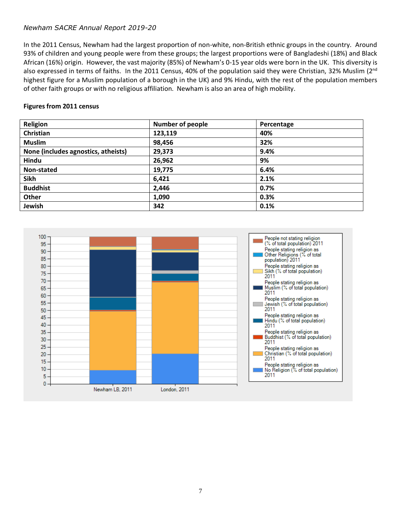In the 2011 Census, Newham had the largest proportion of non-white, non-British ethnic groups in the country. Around 93% of children and young people were from these groups; the largest proportions were of Bangladeshi (18%) and Black African (16%) origin. However, the vast majority (85%) of Newham's 0-15 year olds were born in the UK. This diversity is also expressed in terms of faiths. In the 2011 Census, 40% of the population said they were Christian, 32% Muslim (2<sup>nd</sup>) highest figure for a Muslim population of a borough in the UK) and 9% Hindu, with the rest of the population members of other faith groups or with no religious affiliation. Newham is also an area of high mobility.

#### **Figures from 2011 census**

| Religion                            | <b>Number of people</b> | Percentage |
|-------------------------------------|-------------------------|------------|
| Christian                           | 123,119                 | 40%        |
| <b>Muslim</b>                       | 98,456                  | 32%        |
| None (includes agnostics, atheists) | 29,373                  | 9.4%       |
| Hindu                               | 26,962                  | 9%         |
| Non-stated                          | 19,775                  | 6.4%       |
| <b>Sikh</b>                         | 6,421                   | 2.1%       |
| <b>Buddhist</b>                     | 2,446                   | 0.7%       |
| <b>Other</b>                        | 1,090                   | 0.3%       |
| Jewish                              | 342                     | 0.1%       |

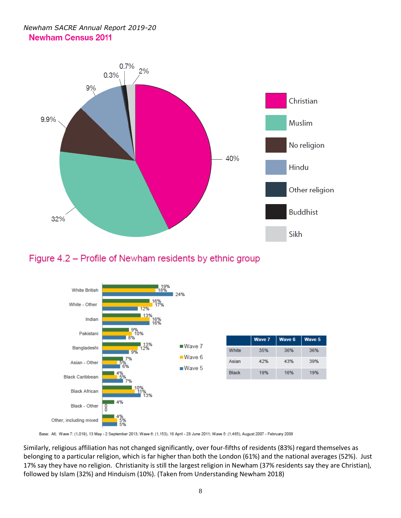## *Newham SACRE Annual Report 2019-20* **Newham Census 2011**



## Figure 4.2 – Profile of Newham residents by ethnic group



Base: All; Wave 7: (1,019), 13 May - 2 September 2013; Wave 6: (1,153), 18 April - 28 June 2011; Wave 5: (1,485), August 2007 - February 2008

Similarly, religious affiliation has not changed significantly, over four-fifths of residents (83%) regard themselves as belonging to a particular religion, which is far higher than both the London (61%) and the national averages (52%). Just 17% say they have no religion. Christianity is still the largest religion in Newham (37% residents say they are Christian), followed by Islam (32%) and Hinduism (10%). (Taken from Understanding Newham 2018)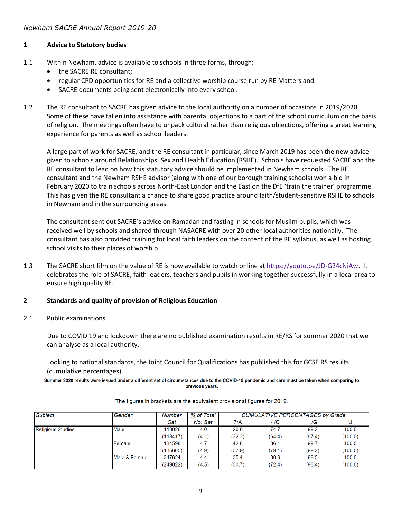## **1 Advice to Statutory bodies**

- 1.1 Within Newham, advice is available to schools in three forms, through:
	- the SACRE RE consultant;
	- regular CPD opportunities for RE and a collective worship course run by RE Matters and
	- SACRE documents being sent electronically into every school.
- 1.2 The RE consultant to SACRE has given advice to the local authority on a number of occasions in 2019/2020. Some of these have fallen into assistance with parental objections to a part of the school curriculum on the basis of religion. The meetings often have to unpack cultural rather than religious objections, offering a great learning experience for parents as well as school leaders.

A large part of work for SACRE, and the RE consultant in particular, since March 2019 has been the new advice given to schools around Relationships, Sex and Health Education (RSHE). Schools have requested SACRE and the RE consultant to lead on how this statutory advice should be implemented in Newham schools. The RE consultant and the Newham RSHE advisor (along with one of our borough training schools) won a bid in February 2020 to train schools across North-East London and the East on the DfE 'train the trainer' programme. This has given the RE consultant a chance to share good practice around faith/student-sensitive RSHE to schools in Newham and in the surrounding areas.

The consultant sent out SACRE's advice on Ramadan and fasting in schools for Muslim pupils, which was received well by schools and shared through NASACRE with over 20 other local authorities nationally. The consultant has also provided training for local faith leaders on the content of the RE syllabus, as well as hosting school visits to their places of worship.

1.3 The SACRE short film on the value of RE is now available to watch online a[t https://youtu.be/JD-G24cNiAw.](https://youtu.be/JD-G24cNiAw) It celebrates the role of SACRE, faith leaders, teachers and pupils in working together successfully in a local area to ensure high quality RE.

## **2 Standards and quality of provision of Religious Education**

## 2.1 Public examinations

Due to COVID 19 and lockdown there are no published examination results in RE/RS for summer 2020 that we can analyse as a local authority.

Looking to national standards, the Joint Council for Qualifications has published this for GCSE RS results (cumulative percentages).

Summer 2020 results were issued under a different set of circumstances due to the COVID-19 pandemic and care must be taken when comparing to previous years.

| <b>Subject</b>           | Gender        | Number   | % of Total | <b>CUMULATIVE PERCENTAGES by Grade</b> |        |        |         |
|--------------------------|---------------|----------|------------|----------------------------------------|--------|--------|---------|
|                          |               | Sat      | No. Sat    | 7/A                                    | 4/C    | 1/G    |         |
| <b>Religious Studies</b> | Male          | 113026   | 4.0        | 26.6                                   | 74.7   | 99.2   | 100.0   |
|                          |               | (113417) | (4.1)      | (22.2)                                 | (64.4) | (97.4) | (100.0) |
|                          | Female        | 134598   | 4.7        | 42.8                                   | 86.1   | 99.7   | 100.0   |
|                          |               | (135605) | (4.9)      | (37.9)                                 | (79.1) | (99.2) | (100.0) |
|                          | Male & Female | 247624   | 4.4        | 35.4                                   | 80.9   | 99.5   | 100.0   |
|                          |               | (249022) | (4.5)      | (30.7)                                 | (72.4) | (98.4) | (100.0) |

The figures in brackets are the equivalent provisional figures for 2019.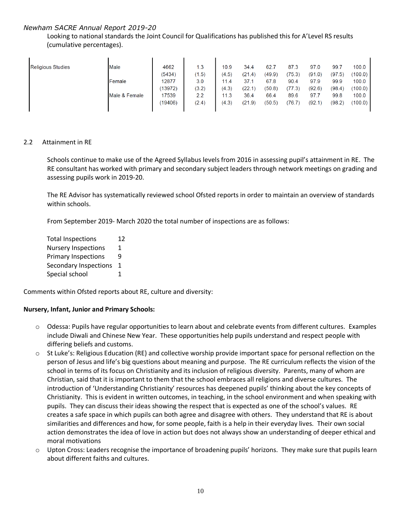Looking to national standards the Joint Council for Qualifications has published this for A'Level RS results (cumulative percentages).

| <b>Religious Studies</b> | Male          | 4662    | 1.3   | 10.9  | 34.4   | 62.    | 87.3   | 97.0   | 99.7   | 100.0   |
|--------------------------|---------------|---------|-------|-------|--------|--------|--------|--------|--------|---------|
|                          |               | (5434)  | (1.5) | (4.5) | (21.4) | (49.9) | (75.3) | (91.0) | (97.5) | (100.0) |
|                          | Female        | 12877   | 3.0   | 11.4  | 37.7   | 67.8   | 90.4   | 97.9   | 99.9   | 100.0   |
|                          |               | (13972) | (3.2) | (4.3) | (22.1) | (50.8) | (77.3) | (92.6) | (98.4) | (100.0) |
|                          | Male & Female | 17539   | 2.2   | 11.3  | 36.4   | 66.4   | 89.6   | 97.7   | 99.8   | 100.0   |
|                          |               | (19406) | (2.4) | (4.3) | (21.9) | (50.5) | (76.7) | (92.1  | (98.2) | (100.0) |
|                          |               |         |       |       |        |        |        |        |        |         |

#### 2.2 Attainment in RE

Schools continue to make use of the Agreed Syllabus levels from 2016 in assessing pupil's attainment in RE. The RE consultant has worked with primary and secondary subject leaders through network meetings on grading and assessing pupils work in 2019-20.

The RE Advisor has systematically reviewed school Ofsted reports in order to maintain an overview of standards within schools.

From September 2019- March 2020 the total number of inspections are as follows:

| <b>Total Inspections</b>   |   |  |
|----------------------------|---|--|
| <b>Nursery Inspections</b> | 1 |  |
| <b>Primary Inspections</b> | q |  |
| Secondary Inspections      | 1 |  |
| Special school             | 1 |  |

Comments within Ofsted reports about RE, culture and diversity:

#### **Nursery, Infant, Junior and Primary Schools:**

- o Odessa: Pupils have regular opportunities to learn about and celebrate events from different cultures. Examples include Diwali and Chinese New Year. These opportunities help pupils understand and respect people with differing beliefs and customs.
- $\circ$  St Luke's: Religious Education (RE) and collective worship provide important space for personal reflection on the person of Jesus and life's big questions about meaning and purpose. The RE curriculum reflects the vision of the school in terms of its focus on Christianity and its inclusion of religious diversity. Parents, many of whom are Christian, said that it is important to them that the school embraces all religions and diverse cultures. The introduction of 'Understanding Christianity' resources has deepened pupils' thinking about the key concepts of Christianity. This is evident in written outcomes, in teaching, in the school environment and when speaking with pupils. They can discuss their ideas showing the respect that is expected as one of the school's values. RE creates a safe space in which pupils can both agree and disagree with others. They understand that RE is about similarities and differences and how, for some people, faith is a help in their everyday lives. Their own social action demonstrates the idea of love in action but does not always show an understanding of deeper ethical and moral motivations
- o Upton Cross: Leaders recognise the importance of broadening pupils' horizons. They make sure that pupils learn about different faiths and cultures.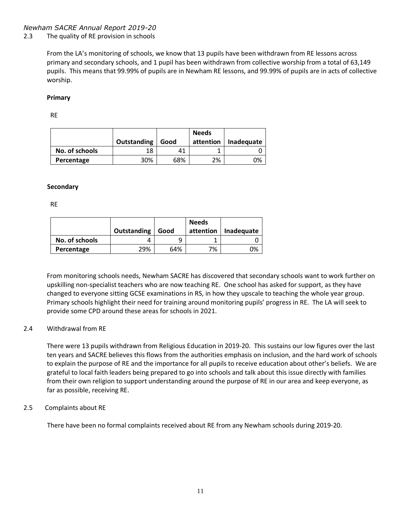#### 2.3 The quality of RE provision in schools

From the LA's monitoring of schools, we know that 13 pupils have been withdrawn from RE lessons across primary and secondary schools, and 1 pupil has been withdrawn from collective worship from a total of 63,149 pupils. This means that 99.99% of pupils are in Newham RE lessons, and 99.99% of pupils are in acts of collective worship.

#### **Primary**

RE

|                | Outstanding | Good | <b>Needs</b><br>attention | Inadequate |
|----------------|-------------|------|---------------------------|------------|
| No. of schools | 18          |      |                           |            |
| Percentage     | 30%         | 68%  | 2%                        | ገ%         |

#### **Secondary**

RE

|                | Outstanding | Good | <b>Needs</b><br>attention | Inadequate |
|----------------|-------------|------|---------------------------|------------|
| No. of schools |             |      |                           |            |
| Percentage     | 29%         | 64%  | 7%                        | ገ%         |

From monitoring schools needs, Newham SACRE has discovered that secondary schools want to work further on upskilling non-specialist teachers who are now teaching RE. One school has asked for support, as they have changed to everyone sitting GCSE examinations in RS, in how they upscale to teaching the whole year group. Primary schools highlight their need for training around monitoring pupils' progress in RE. The LA will seek to provide some CPD around these areas for schools in 2021.

#### 2.4 Withdrawal from RE

There were 13 pupils withdrawn from Religious Education in 2019-20. This sustains our low figures over the last ten years and SACRE believes this flows from the authorities emphasis on inclusion, and the hard work of schools to explain the purpose of RE and the importance for all pupils to receive education about other's beliefs. We are grateful to local faith leaders being prepared to go into schools and talk about this issue directly with families from their own religion to support understanding around the purpose of RE in our area and keep everyone, as far as possible, receiving RE.

#### 2.5 Complaints about RE

There have been no formal complaints received about RE from any Newham schools during 2019-20.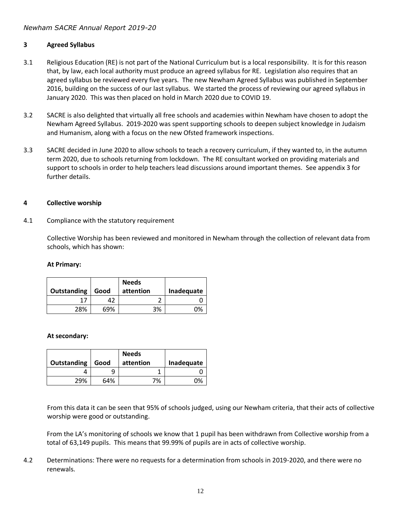## **3 Agreed Syllabus**

- 3.1 Religious Education (RE) is not part of the National Curriculum but is a local responsibility. It is for this reason that, by law, each local authority must produce an agreed syllabus for RE. Legislation also requires that an agreed syllabus be reviewed every five years. The new Newham Agreed Syllabus was published in September 2016, building on the success of our last syllabus. We started the process of reviewing our agreed syllabus in January 2020. This was then placed on hold in March 2020 due to COVID 19.
- 3.2 SACRE is also delighted that virtually all free schools and academies within Newham have chosen to adopt the Newham Agreed Syllabus. 2019-2020 was spent supporting schools to deepen subject knowledge in Judaism and Humanism, along with a focus on the new Ofsted framework inspections.
- 3.3 SACRE decided in June 2020 to allow schools to teach a recovery curriculum, if they wanted to, in the autumn term 2020, due to schools returning from lockdown. The RE consultant worked on providing materials and support to schools in order to help teachers lead discussions around important themes. See appendix 3 for further details.

#### **4 Collective worship**

#### 4.1 Compliance with the statutory requirement

Collective Worship has been reviewed and monitored in Newham through the collection of relevant data from schools, which has shown:

#### **At Primary:**

| Outstanding | Good | <b>Needs</b><br>attention | Inadequate |
|-------------|------|---------------------------|------------|
|             | 42   |                           |            |
| 28%         | 69%  | 3%                        | ባ%         |

#### **At secondary:**

| Outstanding | Good | <b>Needs</b><br>attention | Inadequate |
|-------------|------|---------------------------|------------|
|             |      |                           |            |
| 29%         | 64%  | 7%                        | በ%         |

From this data it can be seen that 95% of schools judged, using our Newham criteria, that their acts of collective worship were good or outstanding.

From the LA's monitoring of schools we know that 1 pupil has been withdrawn from Collective worship from a total of 63,149 pupils. This means that 99.99% of pupils are in acts of collective worship.

4.2 Determinations: There were no requests for a determination from schools in 2019-2020, and there were no renewals.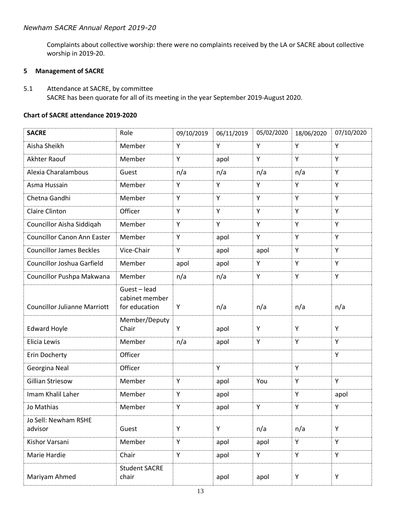Complaints about collective worship: there were no complaints received by the LA or SACRE about collective worship in 2019-20.

#### **5 Management of SACRE**

5.1 Attendance at SACRE, by committee SACRE has been quorate for all of its meeting in the year September 2019-August 2020.

#### **Chart of SACRE attendance 2019-2020**

| <b>SACRE</b>                        | Role                                          | 09/10/2019 | 06/11/2019 | 05/02/2020 | 18/06/2020 | 07/10/2020 |
|-------------------------------------|-----------------------------------------------|------------|------------|------------|------------|------------|
| Aisha Sheikh                        | Member                                        | Y          | Y          | Y          | Y          | Y          |
| Akhter Raouf                        | Member                                        | Υ          | apol       | Υ          | Y          | Y          |
| Alexia Charalambous                 | Guest                                         | n/a        | n/a        | n/a        | n/a        | Y          |
| Asma Hussain                        | Member                                        | Y          | Υ          | Υ          | Y          | Y          |
| Chetna Gandhi                       | Member                                        | Y          | Y          | Υ          | Y          | Y          |
| <b>Claire Clinton</b>               | Officer                                       | Y          | Y          | Y          | Y          | Y          |
| Councillor Aisha Siddiqah           | Member                                        | Y          | Y          | Υ          | Y          | Y          |
| <b>Councillor Canon Ann Easter</b>  | Member                                        | Υ          | apol       | Υ          | Y          | Y          |
| <b>Councillor James Beckles</b>     | Vice-Chair                                    | Y          | apol       | apol       | Y          | Y          |
| Councillor Joshua Garfield          | Member                                        | apol       | apol       | Υ          | Y          | Y          |
| Councillor Pushpa Makwana           | Member                                        | n/a        | n/a        | Υ          | Y          | Y          |
| <b>Councillor Julianne Marriott</b> | Guest-lead<br>cabinet member<br>for education | Υ          | n/a        | n/a        | n/a        | n/a        |
| <b>Edward Hoyle</b>                 | Member/Deputy<br>Chair                        | Υ          | apol       | Υ          | Y          | Y          |
| Elicia Lewis                        | Member                                        | n/a        | apol       | Υ          | Y          | Y          |
| Erin Docherty                       | Officer                                       |            |            |            |            | Y          |
| Georgina Neal                       | Officer                                       |            | Y          |            | Y          |            |
| <b>Gillian Striesow</b>             | Member                                        | Y          | apol       | You        | Y          | Y          |
| Imam Khalil Laher                   | Member                                        | Υ          | apol       |            | Y          | apol       |
| Jo Mathias                          | Member                                        | Υ          | apol       | Y          | Y          | Y          |
| Jo Sell: Newham RSHE<br>advisor     | Guest                                         | Υ          | Y          | n/a        | n/a        | Y          |
| Kishor Varsani                      | Member                                        | Υ          | apol       | apol       | Y          | Y          |
| Marie Hardie                        | Chair                                         | Υ          | apol       | Y          | Y          | Y          |
| Mariyam Ahmed                       | <b>Student SACRE</b><br>chair                 |            | apol       | apol       | Υ          | Y          |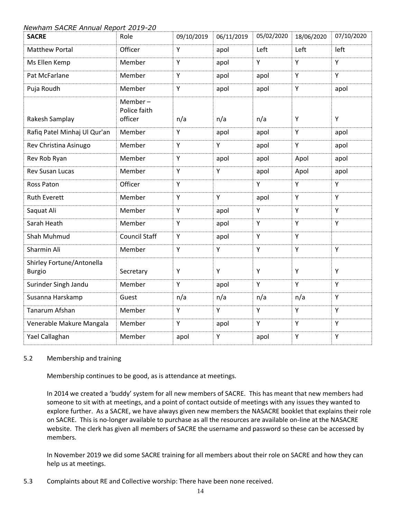| <b>SACRE</b>                               | Role                               | 09/10/2019 | 06/11/2019 | 05/02/2020 | 18/06/2020 | 07/10/2020 |
|--------------------------------------------|------------------------------------|------------|------------|------------|------------|------------|
| <b>Matthew Portal</b>                      | Officer                            | Y          | apol       | Left       | Left       | left       |
| Ms Ellen Kemp                              | Member                             | Y          | apol       | Y          | Y          | Y          |
| Pat McFarlane                              | Member                             | Y          | apol       | apol       | Y          | Y          |
| Puja Roudh                                 | Member                             | Y          | apol       | apol       | Y          | apol       |
| Rakesh Samplay                             | Member-<br>Police faith<br>officer | n/a        | n/a        | n/a        | Υ          | Y          |
| Rafiq Patel Minhaj Ul Qur'an               | Member                             | Υ          | apol       | apol       | Υ          | apol       |
| Rev Christina Asinugo                      | Member                             | Y          | Y          | apol       | Υ          | apol       |
| Rev Rob Ryan                               | Member                             | Y          | apol       | apol       | Apol       | apol       |
| <b>Rev Susan Lucas</b>                     | Member                             | Y          | Y          | apol       | Apol       | apol       |
| Ross Paton                                 | Officer                            | Y          |            | Y          | Y          | Y          |
| <b>Ruth Everett</b>                        | Member                             | Y          | Y          | apol       | Y          | Y          |
| Saquat Ali                                 | Member                             | Y          | apol       | Y          | Y          | Y          |
| Sarah Heath                                | Member                             | Y          | apol       | Y          | Y          | Y          |
| Shah Muhmud                                | <b>Council Staff</b>               | Y          | apol       | Y          | Y          |            |
| Sharmin Ali                                | Member                             | Y          | Υ          | Υ          | Υ          | Y          |
| Shirley Fortune/Antonella<br><b>Burgio</b> | Secretary                          | Υ          | Υ          | Υ          | Υ          | Y          |
| Surinder Singh Jandu                       | Member                             | Y          | apol       | Y          | Y          | Y          |
| Susanna Harskamp                           | Guest                              | n/a        | n/a        | n/a        | n/a        | Y          |
| Tanarum Afshan                             | Member                             | Υ          | Y          | Υ          | Υ          | Y          |
| Venerable Makure Mangala                   | Member                             | Y          | apol       | Y          | Y          | Y          |
| Yael Callaghan                             | Member                             | apol       | Υ          | apol       | Y          | Y          |

#### 5.2 Membership and training

Membership continues to be good, as is attendance at meetings.

In 2014 we created a 'buddy' system for all new members of SACRE. This has meant that new members had someone to sit with at meetings, and a point of contact outside of meetings with any issues they wanted to explore further. As a SACRE, we have always given new members the NASACRE booklet that explains their role on SACRE. This is no-longer available to purchase as all the resources are available on-line at the NASACRE website. The clerk has given all members of SACRE the username and password so these can be accessed by members.

In November 2019 we did some SACRE training for all members about their role on SACRE and how they can help us at meetings.

5.3 Complaints about RE and Collective worship: There have been none received.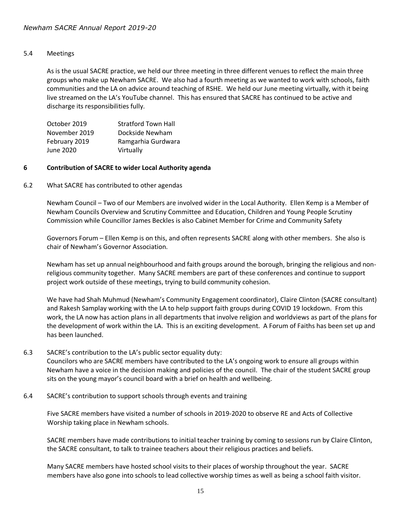#### 5.4 Meetings

As is the usual SACRE practice, we held our three meeting in three different venues to reflect the main three groups who make up Newham SACRE. We also had a fourth meeting as we wanted to work with schools, faith communities and the LA on advice around teaching of RSHE. We held our June meeting virtually, with it being live streamed on the LA's YouTube channel. This has ensured that SACRE has continued to be active and discharge its responsibilities fully.

| October 2019  | <b>Stratford Town Hall</b> |
|---------------|----------------------------|
| November 2019 | Dockside Newham            |
| February 2019 | Ramgarhia Gurdwara         |
| June 2020     | Virtually                  |

#### **6 Contribution of SACRE to wider Local Authority agenda**

6.2 What SACRE has contributed to other agendas

Newham Council – Two of our Members are involved wider in the Local Authority. Ellen Kemp is a Member of Newham Councils Overview and Scrutiny Committee and Education, Children and Young People Scrutiny Commission while Councillor James Beckles is also Cabinet Member for Crime and Community Safety

Governors Forum – Ellen Kemp is on this, and often represents SACRE along with other members. She also is chair of Newham's Governor Association.

Newham has set up annual neighbourhood and faith groups around the borough, bringing the religious and nonreligious community together. Many SACRE members are part of these conferences and continue to support project work outside of these meetings, trying to build community cohesion.

We have had Shah Muhmud (Newham's Community Engagement coordinator), Claire Clinton (SACRE consultant) and Rakesh Samplay working with the LA to help support faith groups during COVID 19 lockdown. From this work, the LA now has action plans in all departments that involve religion and worldviews as part of the plans for the development of work within the LA. This is an exciting development. A Forum of Faiths has been set up and has been launched.

#### 6.3 SACRE's contribution to the LA's public sector equality duty:

Councilors who are SACRE members have contributed to the LA's ongoing work to ensure all groups within Newham have a voice in the decision making and policies of the council. The chair of the student SACRE group sits on the young mayor's council board with a brief on health and wellbeing.

6.4 SACRE's contribution to support schools through events and training

Five SACRE members have visited a number of schools in 2019-2020 to observe RE and Acts of Collective Worship taking place in Newham schools.

SACRE members have made contributions to initial teacher training by coming to sessions run by Claire Clinton, the SACRE consultant, to talk to trainee teachers about their religious practices and beliefs.

Many SACRE members have hosted school visits to their places of worship throughout the year. SACRE members have also gone into schools to lead collective worship times as well as being a school faith visitor.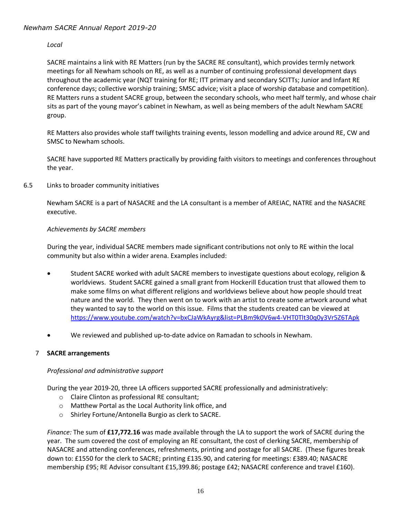#### *Local*

SACRE maintains a link with RE Matters (run by the SACRE RE consultant), which provides termly network meetings for all Newham schools on RE, as well as a number of continuing professional development days throughout the academic year (NQT training for RE; ITT primary and secondary SCITTs; Junior and Infant RE conference days; collective worship training; SMSC advice; visit a place of worship database and competition). RE Matters runs a student SACRE group, between the secondary schools, who meet half termly, and whose chair sits as part of the young mayor's cabinet in Newham, as well as being members of the adult Newham SACRE group.

RE Matters also provides whole staff twilights training events, lesson modelling and advice around RE, CW and SMSC to Newham schools.

SACRE have supported RE Matters practically by providing faith visitors to meetings and conferences throughout the year.

6.5 Links to broader community initiatives

Newham SACRE is a part of NASACRE and the LA consultant is a member of AREIAC, NATRE and the NASACRE executive.

#### *Achievements by SACRE members*

During the year, individual SACRE members made significant contributions not only to RE within the local community but also within a wider arena. Examples included:

- Student SACRE worked with adult SACRE members to investigate questions about ecology, religion & worldviews. Student SACRE gained a small grant from Hockerill Education trust that allowed them to make some films on what different religions and worldviews believe about how people should treat nature and the world. They then went on to work with an artist to create some artwork around what they wanted to say to the world on this issue. Films that the students created can be viewed at <https://www.youtube.com/watch?v=bxCJaWkAyrg&list=PLBm9k0V6w4-VHT0Tlt30q0y3Vr5Z6TApk>
- We reviewed and published up-to-date advice on Ramadan to schools in Newham.

#### 7 **SACRE arrangements**

#### *Professional and administrative support*

During the year 2019-20, three LA officers supported SACRE professionally and administratively:

- o Claire Clinton as professional RE consultant;
- o Matthew Portal as the Local Authority link office, and
- o Shirley Fortune/Antonella Burgio as clerk to SACRE.

*Finance:* The sum of **£17,772.16** was made available through the LA to support the work of SACRE during the year. The sum covered the cost of employing an RE consultant, the cost of clerking SACRE, membership of NASACRE and attending conferences, refreshments, printing and postage for all SACRE. (These figures break down to: £1550 for the clerk to SACRE; printing £135.90, and catering for meetings: £389.40; NASACRE membership £95; RE Advisor consultant £15,399.86; postage £42; NASACRE conference and travel £160).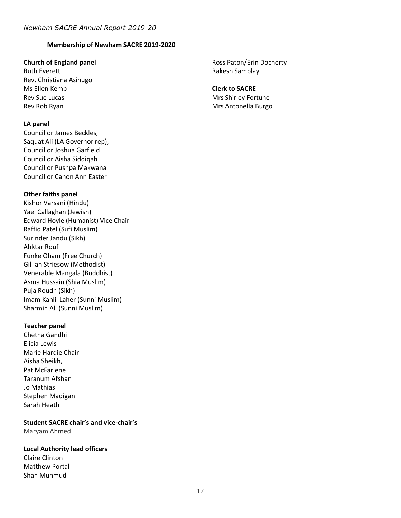#### **Membership of Newham SACRE 2019-2020**

#### **Church of England panel**

Ruth Everett Rev. Christiana Asinugo Ms Ellen Kemp Rev Sue Lucas Rev Rob Ryan

#### **LA panel**

Councillor James Beckles, Saquat Ali (LA Governor rep), Councillor Joshua Garfield Councillor Aisha Siddiqah Councillor Pushpa Makwana Councillor Canon Ann Easter

#### **Other faiths panel**

Kishor Varsani (Hindu) Yael Callaghan (Jewish) Edward Hoyle (Humanist) Vice Chair Raffiq Patel (Sufi Muslim) Surinder Jandu (Sikh) Ahktar Rouf Funke Oham (Free Church) Gillian Striesow (Methodist) Venerable Mangala (Buddhist) Asma Hussain (Shia Muslim) Puja Roudh (Sikh) Imam Kahlil Laher (Sunni Muslim) Sharmin Ali (Sunni Muslim)

#### **Teacher panel**

Chetna Gandhi Elicia Lewis Marie Hardie Chair Aisha Sheikh, Pat McFarlene Taranum Afshan Jo Mathias Stephen Madigan Sarah Heath

**Student SACRE chair's and vice-chair's** Maryam Ahmed

#### **Local Authority lead officers**

Claire Clinton Matthew Portal Shah Muhmud

Ross Paton/Erin Docherty Rakesh Samplay

#### **Clerk to SACRE** Mrs Shirley Fortune

Mrs Antonella Burgo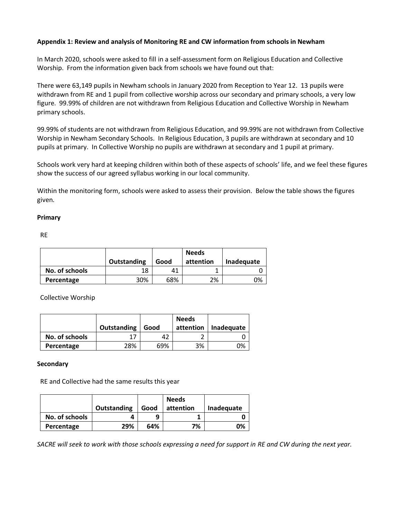#### **Appendix 1: Review and analysis of Monitoring RE and CW information from schools in Newham**

In March 2020, schools were asked to fill in a self-assessment form on Religious Education and Collective Worship. From the information given back from schools we have found out that:

There were 63,149 pupils in Newham schools in January 2020 from Reception to Year 12. 13 pupils were withdrawn from RE and 1 pupil from collective worship across our secondary and primary schools, a very low figure. 99.99% of children are not withdrawn from Religious Education and Collective Worship in Newham primary schools.

99.99% of students are not withdrawn from Religious Education, and 99.99% are not withdrawn from Collective Worship in Newham Secondary Schools. In Religious Education, 3 pupils are withdrawn at secondary and 10 pupils at primary. In Collective Worship no pupils are withdrawn at secondary and 1 pupil at primary.

Schools work very hard at keeping children within both of these aspects of schools' life, and we feel these figures show the success of our agreed syllabus working in our local community.

Within the monitoring form, schools were asked to assess their provision. Below the table shows the figures given.

#### **Primary**

RE

|                | Outstanding | Good | <b>Needs</b><br>attention | Inadequate |
|----------------|-------------|------|---------------------------|------------|
| No. of schools | 18          | 41   |                           |            |
| Percentage     | 30%         | 68%  | 2%                        | ገ%         |

Collective Worship

|                |             |      | <b>Needs</b> |            |
|----------------|-------------|------|--------------|------------|
|                | Outstanding | Good | attention    | Inadequate |
| No. of schools |             |      |              |            |
| Percentage     | 28%         | 69%  | 3%           | ገ%         |

#### **Secondary**

RE and Collective had the same results this year

|                | Outstanding | Good | <b>Needs</b><br>attention | Inadequate |
|----------------|-------------|------|---------------------------|------------|
|                |             |      |                           |            |
| No. of schools |             | q    |                           |            |
| Percentage     | 29%         | 64%  | 7%                        | ገ%         |

*SACRE will seek to work with those schools expressing a need for support in RE and CW during the next year.*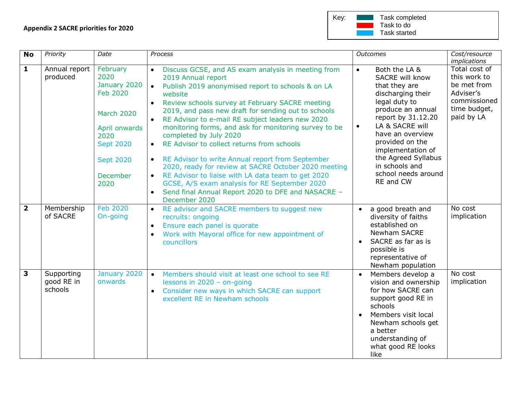| Key: | Task completed |
|------|----------------|
|      | Task to do     |
|      | Task started   |

| <b>No</b>               | Priority                            | Date                                                                                                                                                          | Process                                                                                                                                                                                                                                                                                                                                                                                                                                                                                                                                                                                                                                                                                                                                                                                            |                        | <b>Outcomes</b>                                                                                                                                                                                                                                                                                | Cost/resource<br><i>implications</i>                                                                    |
|-------------------------|-------------------------------------|---------------------------------------------------------------------------------------------------------------------------------------------------------------|----------------------------------------------------------------------------------------------------------------------------------------------------------------------------------------------------------------------------------------------------------------------------------------------------------------------------------------------------------------------------------------------------------------------------------------------------------------------------------------------------------------------------------------------------------------------------------------------------------------------------------------------------------------------------------------------------------------------------------------------------------------------------------------------------|------------------------|------------------------------------------------------------------------------------------------------------------------------------------------------------------------------------------------------------------------------------------------------------------------------------------------|---------------------------------------------------------------------------------------------------------|
| 1                       | Annual report<br>produced           | February<br>2020<br>January 2020<br><b>Feb 2020</b><br><b>March 2020</b><br>April onwards<br>2020<br><b>Sept 2020</b><br><b>Sept 2020</b><br>December<br>2020 | Discuss GCSE, and AS exam analysis in meeting from<br>2019 Annual report<br>Publish 2019 anonymised report to schools & on LA<br>$\bullet$<br>website<br>Review schools survey at February SACRE meeting<br>2019, and pass new draft for sending out to schools<br>RE Advisor to e-mail RE subject leaders new 2020<br>monitoring forms, and ask for monitoring survey to be<br>completed by July 2020<br>RE Advisor to collect returns from schools<br>$\bullet$<br>RE Advisor to write Annual report from September<br>$\bullet$<br>2020, ready for review at SACRE October 2020 meeting<br>RE Advisor to liaise with LA data team to get 2020<br>$\bullet$<br>GCSE, A/S exam analysis for RE September 2020<br>Send final Annual Report 2020 to DFE and NASACRE -<br>$\bullet$<br>December 2020 | $\bullet$<br>$\bullet$ | Both the LA &<br>SACRE will know<br>that they are<br>discharging their<br>legal duty to<br>produce an annual<br>report by 31.12.20<br>LA & SACRE will<br>have an overview<br>provided on the<br>implementation of<br>the Agreed Syllabus<br>in schools and<br>school needs around<br>RE and CW | Total cost of<br>this work to<br>be met from<br>Adviser's<br>commissioned<br>time budget,<br>paid by LA |
| $\overline{\mathbf{2}}$ | Membership<br>of SACRE              | <b>Feb 2020</b><br>On-going                                                                                                                                   | RE advisor and SACRE members to suggest new<br>$\bullet$<br>recruits: ongoing<br>Ensure each panel is quorate<br>$\bullet$<br>Work with Mayoral office for new appointment of<br>$\bullet$<br>councillors                                                                                                                                                                                                                                                                                                                                                                                                                                                                                                                                                                                          | $\bullet$              | a good breath and<br>diversity of faiths<br>established on<br><b>Newham SACRE</b><br>SACRE as far as is<br>possible is<br>representative of<br>Newham population                                                                                                                               | No cost<br>implication                                                                                  |
| 3                       | Supporting<br>good RE in<br>schools | January 2020<br>onwards                                                                                                                                       | Members should visit at least one school to see RE<br>$\bullet$<br>lessons in $2020 -$ on-going<br>Consider new ways in which SACRE can support<br>$\bullet$<br>excellent RE in Newham schools                                                                                                                                                                                                                                                                                                                                                                                                                                                                                                                                                                                                     | $\bullet$              | Members develop a<br>vision and ownership<br>for how SACRE can<br>support good RE in<br>schools<br>Members visit local<br>Newham schools get<br>a better<br>understanding of<br>what good RE looks<br>like                                                                                     | No cost<br>implication                                                                                  |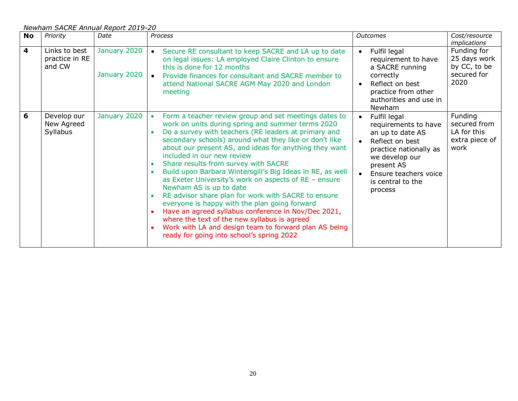*Newham SACRE Annual Report 2019-20*

| <b>No</b> | Priority                                  | Date                         | Process                                                                                                                                                                                                                                                                                                                                                                                                                                                                                                                                                                                                                                                                                                                                                                                                                                         | <b>Outcomes</b>                                                                                                                                                                                | Cost/resource<br><i>implications</i>                               |
|-----------|-------------------------------------------|------------------------------|-------------------------------------------------------------------------------------------------------------------------------------------------------------------------------------------------------------------------------------------------------------------------------------------------------------------------------------------------------------------------------------------------------------------------------------------------------------------------------------------------------------------------------------------------------------------------------------------------------------------------------------------------------------------------------------------------------------------------------------------------------------------------------------------------------------------------------------------------|------------------------------------------------------------------------------------------------------------------------------------------------------------------------------------------------|--------------------------------------------------------------------|
| 4         | Links to best<br>practice in RE<br>and CW | January 2020<br>January 2020 | Secure RE consultant to keep SACRE and LA up to date<br>on legal issues: LA employed Claire Clinton to ensure<br>this is done for 12 months<br>Provide finances for consultant and SACRE member to<br>attend National SACRE AGM May 2020 and London<br>meeting                                                                                                                                                                                                                                                                                                                                                                                                                                                                                                                                                                                  | Fulfil legal<br>requirement to have<br>a SACRE running<br>correctly<br>Reflect on best<br>$\bullet$<br>practice from other<br>authorities and use in<br>Newham                                 | Funding for<br>25 days work<br>by CC, to be<br>secured for<br>2020 |
| 6         | Develop our<br>New Agreed<br>Syllabus     | January 2020                 | Form a teacher review group and set meetings dates to<br>work on units during spring and summer terms 2020<br>Do a survey with teachers (RE leaders at primary and<br>secondary schools) around what they like or don't like<br>about our present AS, and ideas for anything they want<br>included in our new review<br>Share results from survey with SACRE<br>Build upon Barbara Wintersgill's Big Ideas in RE, as well<br>as Exeter University's work on aspects of RE - ensure<br>Newham AS is up to date<br>RE advisor share plan for work with SACRE to ensure<br>$\bullet$<br>everyone is happy with the plan going forward<br>Have an agreed syllabus conference in Nov/Dec 2021,<br>where the text of the new syllabus is agreed<br>Work with LA and design team to forward plan AS being<br>ready for going into school's spring 2022 | Fulfil legal<br>requirements to have<br>an up to date AS<br>Reflect on best<br>practice nationally as<br>we develop our<br>present AS<br>Ensure teachers voice<br>is central to the<br>process | Funding<br>secured from<br>LA for this<br>extra piece of<br>work   |